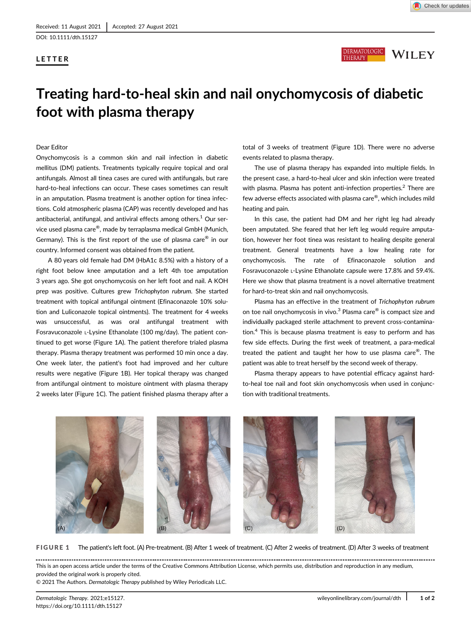DOI: 10.1111/dth.15127





# Treating hard-to-heal skin and nail onychomycosis of diabetic foot with plasma therapy

Dear Editor

Onychomycosis is a common skin and nail infection in diabetic mellitus (DM) patients. Treatments typically require topical and oral antifungals. Almost all tinea cases are cured with antifungals, but rare hard-to-heal infections can occur. These cases sometimes can result in an amputation. Plasma treatment is another option for tinea infections. Cold atmospheric plasma (CAP) was recently developed and has antibacterial, antifungal, and antiviral effects among others. $1$  Our service used plasma care®, made by terraplasma medical GmbH (Munich, Germany). This is the first report of the use of plasma care $^{\circledR}$  in our country. Informed consent was obtained from the patient.

A 80 years old female had DM (HbA1c 8.5%) with a history of a right foot below knee amputation and a left 4th toe amputation 3 years ago. She got onychomycosis on her left foot and nail. A KOH prep was positive. Cultures grew Trichophyton rubrum. She started treatment with topical antifungal ointment (Efinaconazole 10% solution and Luliconazole topical ointments). The treatment for 4 weeks was unsuccessful, as was oral antifungal treatment with Fosravuconazole L-Lysine Ethanolate (100 mg/day). The patient continued to get worse (Figure 1A). The patient therefore trialed plasma therapy. Plasma therapy treatment was performed 10 min once a day. One week later, the patient's foot had improved and her culture results were negative (Figure 1B). Her topical therapy was changed from antifungal ointment to moisture ointment with plasma therapy 2 weeks later (Figure 1C). The patient finished plasma therapy after a

total of 3 weeks of treatment (Figure 1D). There were no adverse events related to plasma therapy.

The use of plasma therapy has expanded into multiple fields. In the present case, a hard-to-heal ulcer and skin infection were treated with plasma. Plasma has potent anti-infection properties.<sup>2</sup> There are few adverse effects associated with plasma care®, which includes mild heating and pain.

In this case, the patient had DM and her right leg had already been amputated. She feared that her left leg would require amputation, however her foot tinea was resistant to healing despite general treatment. General treatments have a low healing rate for onychomycosis. The rate of Efinaconazole solution and Fosravuconazole L-Lysine Ethanolate capsule were 17.8% and 59.4%. Here we show that plasma treatment is a novel alternative treatment for hard-to-treat skin and nail onychomycosis.

Plasma has an effective in the treatment of Trichophyton rubrum on toe nail onychomycosis in vivo. $3$  Plasma care<sup>®</sup> is compact size and individually packaged sterile attachment to prevent cross-contamination.<sup>4</sup> This is because plasma treatment is easy to perform and has few side effects. During the first week of treatment, a para-medical treated the patient and taught her how to use plasma care<sup>®</sup>. The patient was able to treat herself by the second week of therapy.

Plasma therapy appears to have potential efficacy against hardto-heal toe nail and foot skin onychomycosis when used in conjunction with traditional treatments.



FIGURE 1 The patient's left foot. (A) Pre-treatment. (B) After 1 week of treatment. (C) After 2 weeks of treatment. (D) After 3 weeks of treatment

This is an open access article under the terms of the [Creative Commons Attribution](http://creativecommons.org/licenses/by/4.0/) License, which permits use, distribution and reproduction in any medium, provided the original work is properly cited.

© 2021 The Authors. Dermatologic Therapy published by Wiley Periodicals LLC.